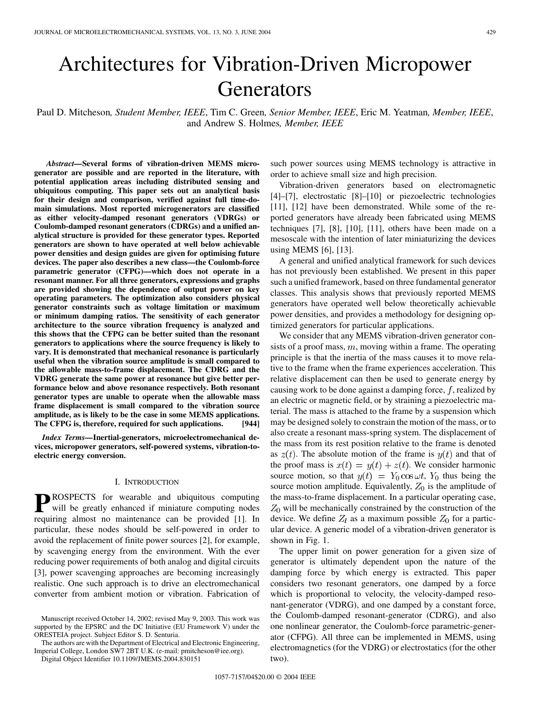# Architectures for Vibration-Driven Micropower **Generators**

Paul D. Mitcheson*, Student Member, IEEE*, Tim C. Green*, Senior Member, IEEE*, Eric M. Yeatman*, Member, IEEE*, and Andrew S. Holmes*, Member, IEEE*

*Abstract—***Several forms of vibration-driven MEMS microgenerator are possible and are reported in the literature, with potential application areas including distributed sensing and ubiquitous computing. This paper sets out an analytical basis for their design and comparison, verified against full time-domain simulations. Most reported microgenerators are classified as either velocity-damped resonant generators (VDRGs) or Coulomb-damped resonant generators (CDRGs) and a unified analytical structure is provided for these generator types. Reported generators are shown to have operated at well below achievable power densities and design guides are given for optimising future devices. The paper also describes a new class—the Coulomb-force parametric generator (CFPG)—which does not operate in a resonant manner. For all three generators, expressions and graphs are provided showing the dependence of output power on key operating parameters. The optimization also considers physical generator constraints such as voltage limitation or maximum or minimum damping ratios. The sensitivity of each generator architecture to the source vibration frequency is analyzed and this shows that the CFPG can be better suited than the resonant generators to applications where the source frequency is likely to vary. It is demonstrated that mechanical resonance is particularly useful when the vibration source amplitude is small compared to the allowable mass-to-frame displacement. The CDRG and the VDRG generate the same power at resonance but give better performance below and above resonance respectively. Both resonant generator types are unable to operate when the allowable mass frame displacement is small compared to the vibration source amplitude, as is likely to be the case in some MEMS applications. The CFPG is, therefore, required for such applications. [944]**

*Index Terms—***Inertial-generators, microelectromechanical devices, micropower generators, self-powered systems, vibration-toelectric energy conversion.**

## I. INTRODUCTION

**P**ROSPECTS for wearable and ubiquitous computing will be greatly enhanced if miniature computing nodes requiring almost no maintenance can be provided [\[1](#page-11-0)]. In particular, these nodes should be self-powered in order to avoid the replacement of finite power sources [[2\]](#page-11-0), for example, by scavenging energy from the environment. With the ever reducing power requirements of both analog and digital circuits [\[3](#page-11-0)], power scavenging approaches are becoming increasingly realistic. One such approach is to drive an electromechanical converter from ambient motion or vibration. Fabrication of

The authors are with the Department of Electrical and Electronic Engineering, Imperial College, London SW7 2BT U.K. (e-mail: pmitcheson@iee.org).

Digital Object Identifier 10.1109/JMEMS.2004.830151

such power sources using MEMS technology is attractive in order to achieve small size and high precision.

Vibration-driven generators based on electromagnetic [\[4](#page-11-0)]–[\[7](#page-11-0)], electrostatic [\[8](#page-11-0)]–[[10\]](#page-11-0) or piezoelectric technologies [\[11](#page-11-0)], [[12](#page-11-0)] have been demonstrated. While some of the reported generators have already been fabricated using MEMS techniques [\[7](#page-11-0)], [\[8](#page-11-0)], [[10\]](#page-11-0), [\[11](#page-11-0)], others have been made on a mesoscale with the intention of later miniaturizing the devices using MEMS [\[6](#page-11-0)], [\[13](#page-11-0)].

A general and unified analytical framework for such devices has not previously been established. We present in this paper such a unified framework, based on three fundamental generator classes. This analysis shows that previously reported MEMS generators have operated well below theoretically achievable power densities, and provides a methodology for designing optimized generators for particular applications.

We consider that any MEMS vibration-driven generator consists of a proof mass,  $m$ , moving within a frame. The operating principle is that the inertia of the mass causes it to move relative to the frame when the frame experiences acceleration. This relative displacement can then be used to generate energy by causing work to be done against a damping force,  $f$ , realized by an electric or magnetic field, or by straining a piezoelectric material. The mass is attached to the frame by a suspension which may be designed solely to constrain the motion of the mass, or to also create a resonant mass-spring system. The displacement of the mass from its rest position relative to the frame is denoted as  $z(t)$ . The absolute motion of the frame is  $y(t)$  and that of the proof mass is  $x(t) = y(t) + z(t)$ . We consider harmonic source motion, so that  $y(t) = Y_0 \cos \omega t$ ,  $Y_0$  thus being the source motion amplitude. Equivalently,  $Z_0$  is the amplitude of the mass-to-frame displacement. In a particular operating case,  $Z_0$  will be mechanically constrained by the construction of the device. We define  $Z_l$  as a maximum possible  $Z_0$  for a particular device. A generic model of a vibration-driven generator is shown in Fig. 1.

The upper limit on power generation for a given size of generator is ultimately dependent upon the nature of the damping force by which energy is extracted. This paper considers two resonant generators, one damped by a force which is proportional to velocity, the velocity-damped resonant-generator (VDRG), and one damped by a constant force, the Coulomb-damped resonant-generator (CDRG), and also one nonlinear generator, the Coulomb-force parametric-generator (CFPG). All three can be implemented in MEMS, using electromagnetics (for the VDRG) or electrostatics (for the other two).

Manuscript received October 14, 2002; revised May 9, 2003. This work was supported by the EPSRC and the DC Initiative (EU Framework V) under the ORESTEIA project. Subject Editor S. D. Senturia.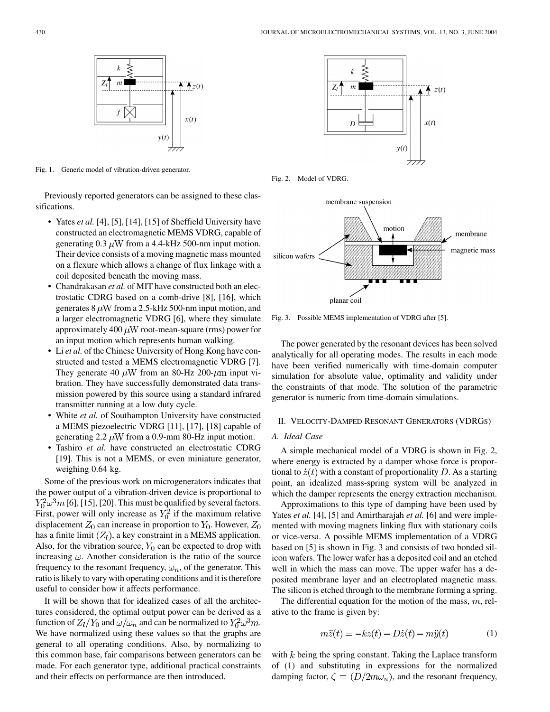

Fig. 1. Generic model of vibration-driven generator.

Previously reported generators can be assigned to these classifications.

- Yates *et al.* [[4\]](#page-11-0), [\[5](#page-11-0)], [\[14](#page-11-0)], [\[15](#page-11-0)] of Sheffield University have constructed an electromagnetic MEMS VDRG, capable of generating 0.3  $\mu$ W from a 4.4-kHz 500-nm input motion. Their device consists of a moving magnetic mass mounted on a flexure which allows a change of flux linkage with a coil deposited beneath the moving mass.
- Chandrakasan *et al.* of MIT have constructed both an electrostatic CDRG based on a comb-drive [\[8](#page-11-0)], [[16\]](#page-11-0), which generates  $8 \mu$ W from a 2.5-kHz 500-nm input motion, and a larger electromagnetic VDRG [\[6](#page-11-0)], where they simulate approximately 400  $\mu$ W root-mean-square (rms) power for an input motion which represents human walking.
- Li *et al.* of the Chinese University of Hong Kong have constructed and tested a MEMS electromagnetic VDRG [[7\]](#page-11-0). They generate 40  $\mu$ W from an 80-Hz 200- $\mu$ m input vibration. They have successfully demonstrated data transmission powered by this source using a standard infrared transmitter running at a low duty cycle.
- White *et al.* of Southampton University have constructed a MEMS piezoelectric VDRG [\[11](#page-11-0)], [\[17](#page-11-0)], [\[18](#page-11-0)] capable of generating 2.2  $\mu$ W from a 0.9-mm 80-Hz input motion.
- Tashiro *et al.* have constructed an electrostatic CDRG [\[19](#page-11-0)]. This is not a MEMS, or even miniature generator, weighing 0.64 kg.

Some of the previous work on microgenerators indicates that the power output of a vibration-driven device is proportional to  $Y_0^2 \omega^3 m$  [[6\]](#page-11-0), [[15\]](#page-11-0), [[20\]](#page-11-0). This must be qualified by several factors. First, power will only increase as  $Y_0^2$  if the maximum relative displacement  $Z_0$  can increase in proportion to  $Y_0$ . However,  $Z_0$ has a finite limit  $(Z_l)$ , a key constraint in a MEMS application. Also, for the vibration source,  $Y_0$  can be expected to drop with increasing  $\omega$ . Another consideration is the ratio of the source frequency to the resonant frequency,  $\omega_n$ , of the generator. This ratio is likely to vary with operating conditions and it is therefore useful to consider how it affects performance.

It will be shown that for idealized cases of all the architectures considered, the optimal output power can be derived as a function of  $Z_l/Y_0$  and  $\omega/\omega_n$  and can be normalized to  $Y_0^2\omega^3m$ . We have normalized using these values so that the graphs are general to all operating conditions. Also, by normalizing to this common base, fair comparisons between generators can be made. For each generator type, additional practical constraints and their effects on performance are then introduced.



Fig. 2. Model of VDRG.



Fig. 3. Possible MEMS implementation of VDRG after [\[5](#page-11-0)].

The power generated by the resonant devices has been solved analytically for all operating modes. The results in each mode have been verified numerically with time-domain computer simulation for absolute value, optimality and validity under the constraints of that mode. The solution of the parametric generator is numeric from time-domain simulations.

#### II. VELOCITY-DAMPED RESONANT GENERATORS (VDRGS)

## *A. Ideal Case*

A simple mechanical model of a VDRG is shown in Fig. 2, where energy is extracted by a damper whose force is proportional to  $\dot{z}(t)$  with a constant of proportionality D. As a starting point, an idealized mass-spring system will be analyzed in which the damper represents the energy extraction mechanism.

Approximations to this type of damping have been used by Yates *et al.* [[4](#page-11-0)], [\[5](#page-11-0)] and Amirtharajah *et al.* [\[6](#page-11-0)] and were implemented with moving magnets linking flux with stationary coils or vice-versa. A possible MEMS implementation of a VDRG based on [[5\]](#page-11-0) is shown in Fig. 3 and consists of two bonded silicon wafers. The lower wafer has a deposited coil and an etched well in which the mass can move. The upper wafer has a deposited membrane layer and an electroplated magnetic mass. The silicon is etched through to the membrane forming a spring.

The differential equation for the motion of the mass,  $m$ , relative to the frame is given by:

$$
m\ddot{z}(t) = -kz(t) - D\dot{z}(t) - m\ddot{y}(t)
$$
\n(1)

with  $k$  being the spring constant. Taking the Laplace transform of (1) and substituting in expressions for the normalized damping factor,  $\zeta = (D/2m\omega_n)$ , and the resonant frequency,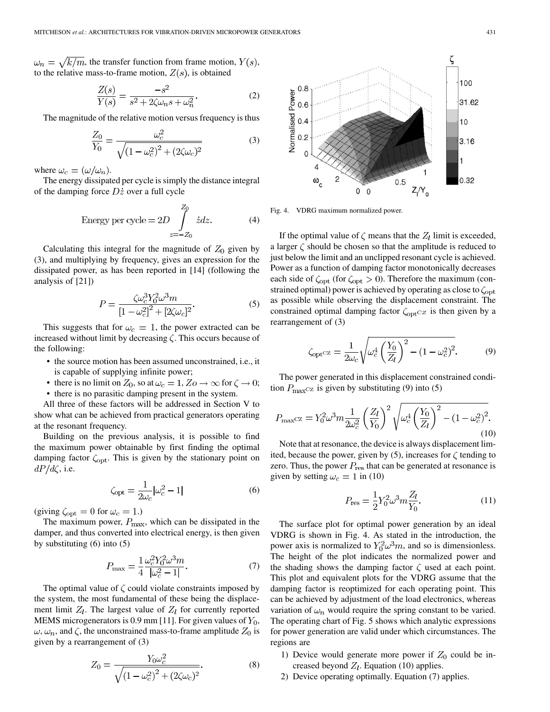$\omega_n = \sqrt{k/m}$ , the transfer function from frame motion,  $Y(s)$ , to the relative mass-to-frame motion,  $Z(s)$ , is obtained

$$
\frac{Z(s)}{Y(s)} = \frac{-s^2}{s^2 + 2\zeta\omega_n s + \omega_n^2}.\tag{2}
$$

The magnitude of the relative motion versus frequency is thus

$$
\frac{Z_0}{Y_0} = \frac{\omega_c^2}{\sqrt{(1 - \omega_c^2)^2 + (2\zeta\omega_c)^2}}
$$
(3)

where  $\omega_c = (\omega/\omega_n)$ .

The energy dissipated per cycle is simply the distance integral of the damping force  $D\dot{z}$  over a full cycle

Energy per cycle = 
$$
2D \int_{z=-Z_0}^{Z_0} \dot{z} dz.
$$
 (4)

Calculating this integral for the magnitude of  $Z_0$  given by (3), and multiplying by frequency, gives an expression for the dissipated power, as has been reported in [[14\]](#page-11-0) (following the analysis of [[21\]](#page-11-0))

$$
P = \frac{\zeta \omega_c^3 Y_0^2 \omega^3 m}{[1 - \omega_c^2]^2 + [2\zeta \omega_c]^2}.
$$
 (5)

This suggests that for  $\omega_c = 1$ , the power extracted can be increased without limit by decreasing  $\zeta$ . This occurs because of the following:

- the source motion has been assumed unconstrained, i.e., it is capable of supplying infinite power;
- there is no limit on  $Z_0$ , so at  $\omega_c = 1$ ,  $Z_0 \rightarrow \infty$  for  $\zeta \rightarrow 0$ ;
- there is no parasitic damping present in the system.

All three of these factors will be addressed in Section V to show what can be achieved from practical generators operating at the resonant frequency.

Building on the previous analysis, it is possible to find the maximum power obtainable by first finding the optimal damping factor  $\zeta_{\text{opt}}$ . This is given by the stationary point on  $dP/d\zeta$ , i.e.

$$
\zeta_{\rm opt} = \frac{1}{2\omega_c} |\omega_c^2 - 1| \tag{6}
$$

(giving  $\zeta_{\text{opt}} = 0$  for  $\omega_c = 1$ .)

The maximum power,  $P_{\text{max}}$ , which can be dissipated in the damper, and thus converted into electrical energy, is then given by substituting  $(6)$  into  $(5)$ 

$$
P_{\text{max}} = \frac{1}{4} \frac{\omega_c^2 Y_0^2 \omega^3 m}{|\omega_c^2 - 1|}.
$$
 (7)

The optimal value of  $\zeta$  could violate constraints imposed by the system, the most fundamental of these being the displacement limit  $Z_l$ . The largest value of  $Z_l$  for currently reported MEMS microgenerators is 0.9 mm [[11\]](#page-11-0). For given values of  $Y_0$ ,  $\omega, \omega_n$ , and  $\zeta$ , the unconstrained mass-to-frame amplitude  $Z_0$  is given by a rearrangement of (3)

$$
Z_0 = \frac{Y_0 \omega_c^2}{\sqrt{\left(1 - \omega_c^2\right)^2 + \left(2\zeta \omega_c\right)^2}}.
$$
 (8)



Fig. 4. VDRG maximum normalized power.

If the optimal value of  $\zeta$  means that the  $Z_l$  limit is exceeded, a larger  $\zeta$  should be chosen so that the amplitude is reduced to just below the limit and an unclipped resonant cycle is achieved. Power as a function of damping factor monotonically decreases each side of  $\zeta_{opt}$  (for  $\zeta_{opt} > 0$ ). Therefore the maximum (constrained optimal) power is achieved by operating as close to  $\zeta_{opt}$ as possible while observing the displacement constraint. The constrained optimal damping factor  $\zeta_{opt}$  is then given by a rearrangement of (3)

$$
\zeta_{\text{opt}} \text{cz} = \frac{1}{2\omega_c} \sqrt{\omega_c^4 \left(\frac{Y_0}{Z_l}\right)^2 - \left(1 - \omega_c^2\right)^2}.
$$
 (9)

The power generated in this displacement constrained condition  $P_{\text{max}}$ cz is given by substituting (9) into (5)

$$
P_{\text{max}}cz = Y_0^2 \omega^3 m \frac{1}{2\omega_c^2} \left(\frac{Z_l}{Y_0}\right)^2 \sqrt{\omega_c^4 \left(\frac{Y_0}{Z_l}\right)^2 - (1 - \omega_c^2)^2}.
$$
\n(10)

Note that at resonance, the device is always displacement limited, because the power, given by (5), increases for  $\zeta$  tending to zero. Thus, the power  $P_{\text{res}}$  that can be generated at resonance is given by setting  $\omega_c = 1$  in (10)

$$
P_{\rm res} = \frac{1}{2} Y_0^2 \omega^3 m \frac{Z_l}{Y_0}.
$$
 (11)

The surface plot for optimal power generation by an ideal VDRG is shown in Fig. 4. As stated in the introduction, the power axis is normalized to  $Y_0^2 \omega^3 m$ , and so is dimensionless. The height of the plot indicates the normalized power and the shading shows the damping factor  $\zeta$  used at each point. This plot and equivalent plots for the VDRG assume that the damping factor is reoptimized for each operating point. This can be achieved by adjustment of the load electronics, whereas variation of  $\omega_n$  would require the spring constant to be varied. The operating chart of Fig. 5 shows which analytic expressions for power generation are valid under which circumstances. The regions are

- 1) Device would generate more power if  $Z_0$  could be increased beyond  $Z_l$ . Equation (10) applies.
- 2) Device operating optimally. Equation (7) applies.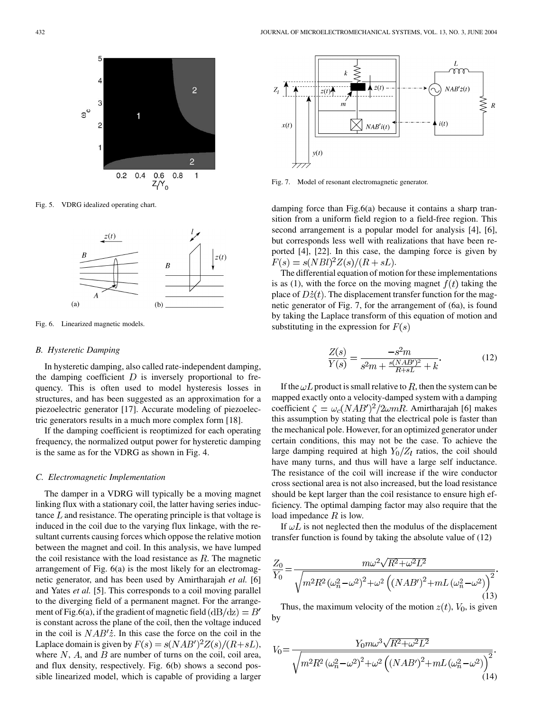

Fig. 5. VDRG idealized operating chart.



Fig. 6. Linearized magnetic models.

#### *B. Hysteretic Damping*

In hysteretic damping, also called rate-independent damping, the damping coefficient  $D$  is inversely proportional to frequency. This is often used to model hysteresis losses in structures, and has been suggested as an approximation for a piezoelectric generator [\[17](#page-11-0)]. Accurate modeling of piezoelectric generators results in a much more complex form [[18\]](#page-11-0).

If the damping coefficient is reoptimized for each operating frequency, the normalized output power for hysteretic damping is the same as for the VDRG as shown in Fig. 4.

## *C. Electromagnetic Implementation*

The damper in a VDRG will typically be a moving magnet linking flux with a stationary coil, the latter having series inductance  $L$  and resistance. The operating principle is that voltage is induced in the coil due to the varying flux linkage, with the resultant currents causing forces which oppose the relative motion between the magnet and coil. In this analysis, we have lumped the coil resistance with the load resistance as  $R$ . The magnetic arrangement of Fig. 6(a) is the most likely for an electromagnetic generator, and has been used by Amirtharajah *et al.* [\[6](#page-11-0)] and Yates *et al.* [\[5](#page-11-0)]. This corresponds to a coil moving parallel to the diverging field of a permanent magnet. For the arrangement of Fig.6(a), if the gradient of magnetic field  $(dB/dz) = B'$ is constant across the plane of the coil, then the voltage induced in the coil is  $NAB'\dot{z}$ . In this case the force on the coil in the Laplace domain is given by  $F(s) = s(NAB')^2 Z(s)/(R + sL)$ , where  $N$ ,  $A$ , and  $B$  are number of turns on the coil, coil area, and flux density, respectively. Fig. 6(b) shows a second possible linearized model, which is capable of providing a larger



Fig. 7. Model of resonant electromagnetic generator.

damping force than Fig.6(a) because it contains a sharp transition from a uniform field region to a field-free region. This second arrangement is a popular model for analysis [[4\]](#page-11-0), [[6\]](#page-11-0), but corresponds less well with realizations that have been reported [\[4](#page-11-0)], [[22\]](#page-11-0). In this case, the damping force is given by  $F(s) = s(NBl)^2 Z(s)/(R + sL).$ 

The differential equation of motion for these implementations is as (1), with the force on the moving magnet  $f(t)$  taking the place of  $D\dot{z}(t)$ . The displacement transfer function for the magnetic generator of Fig. 7, for the arrangement of (6a), is found by taking the Laplace transform of this equation of motion and substituting in the expression for  $F(s)$ 

$$
\frac{Z(s)}{Y(s)} = \frac{-s^2 m}{s^2 m + \frac{s(NAB')^2}{R + sL} + k}.
$$
(12)

If the  $\omega L$  product is small relative to R, then the system can be mapped exactly onto a velocity-damped system with a damping coefficient  $\zeta = \omega_c (NAB')^2/2\omega mR$ . Amirtharajah [[6\]](#page-11-0) makes this assumption by stating that the electrical pole is faster than the mechanical pole. However, for an optimized generator under certain conditions, this may not be the case. To achieve the large damping required at high  $Y_0/Z_l$  ratios, the coil should have many turns, and thus will have a large self inductance. The resistance of the coil will increase if the wire conductor cross sectional area is not also increased, but the load resistance should be kept larger than the coil resistance to ensure high efficiency. The optimal damping factor may also require that the load impedance  $R$  is low.

If  $\omega L$  is not neglected then the modulus of the displacement transfer function is found by taking the absolute value of (12)

$$
\frac{Z_0}{Y_0} = \frac{m\omega^2 \sqrt{R^2 + \omega^2 L^2}}{\sqrt{m^2 R^2 (\omega_n^2 - \omega^2)^2 + \omega^2 \left( (N A B')^2 + m L (\omega_n^2 - \omega^2) \right)^2}} (13)
$$

Thus, the maximum velocity of the motion  $z(t)$ ,  $V_0$ , is given by

$$
V_0 = \frac{Y_0 m \omega^3 \sqrt{R^2 + \omega^2 L^2}}{\sqrt{m^2 R^2 (\omega_n^2 - \omega^2)^2 + \omega^2 \left( (N A B')^2 + m L (\omega_n^2 - \omega^2) \right)^2}}.
$$
\n(14)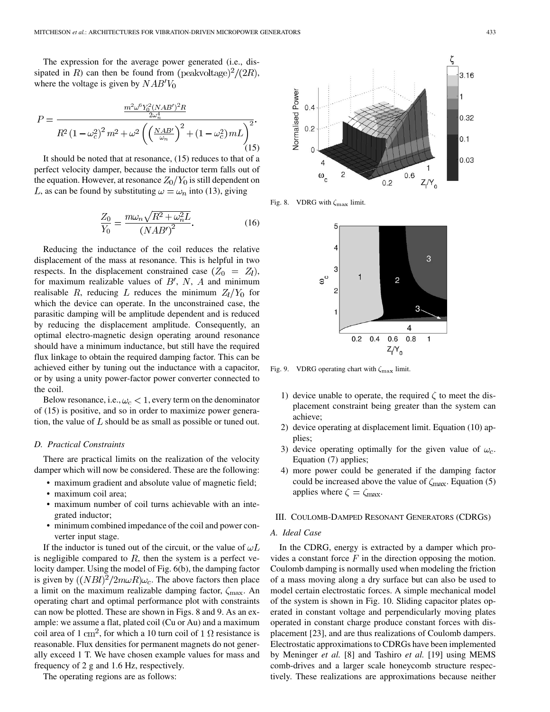The expression for the average power generated (i.e., dissipated in R) can then be found from  $(\text{peakvoltage})^2/(2R)$ , where the voltage is given by  $NAB'V_0$ 

$$
P = \frac{\frac{m^2 \omega^6 Y_0^2 (NAB')^2 R}{2\omega_n^4}}{R^2 (1 - \omega_c^2)^2 m^2 + \omega^2 \left(\left(\frac{NAB'}{\omega_n}\right)^2 + (1 - \omega_c^2) m L\right)^2}.
$$
\n(15)

It should be noted that at resonance, (15) reduces to that of a perfect velocity damper, because the inductor term falls out of the equation. However, at resonance  $Z_0/Y_0$  is still dependent on L, as can be found by substituting  $\omega = \omega_n$  into (13), giving

$$
\frac{Z_0}{Y_0} = \frac{m\omega_n\sqrt{R^2 + \omega_n^2 L}}{(NAB')^2}.
$$
\n(16)

Reducing the inductance of the coil reduces the relative displacement of the mass at resonance. This is helpful in two respects. In the displacement constrained case  $(Z_0 = Z_l)$ , for maximum realizable values of  $B'$ , N, A and minimum realisable R, reducing L reduces the minimum  $Z_l/Y_0$  for which the device can operate. In the unconstrained case, the parasitic damping will be amplitude dependent and is reduced by reducing the displacement amplitude. Consequently, an optimal electro-magnetic design operating around resonance should have a minimum inductance, but still have the required flux linkage to obtain the required damping factor. This can be achieved either by tuning out the inductance with a capacitor, or by using a unity power-factor power converter connected to the coil.

Below resonance, i.e.,  $\omega_c < 1$ , every term on the denominator of (15) is positive, and so in order to maximize power generation, the value of  $L$  should be as small as possible or tuned out.

# *D. Practical Constraints*

There are practical limits on the realization of the velocity damper which will now be considered. These are the following:

- maximum gradient and absolute value of magnetic field;
- maximum coil area;
- maximum number of coil turns achievable with an integrated inductor;
- minimum combined impedance of the coil and power converter input stage.

If the inductor is tuned out of the circuit, or the value of  $\omega L$ is negligible compared to  $R$ , then the system is a perfect velocity damper. Using the model of Fig. 6(b), the damping factor is given by  $((NBl)^2/2m\omega R)\omega_c$ . The above factors then place a limit on the maximum realizable damping factor,  $\zeta_{\text{max}}$ . An operating chart and optimal performance plot with constraints can now be plotted. These are shown in Figs. 8 and 9. As an example: we assume a flat, plated coil (Cu or Au) and a maximum coil area of 1 cm<sup>2</sup>, for which a 10 turn coil of 1  $\Omega$  resistance is reasonable. Flux densities for permanent magnets do not generally exceed 1 T. We have chosen example values for mass and frequency of 2 g and 1.6 Hz, respectively.

The operating regions are as follows:



Fig. 8. VDRG with  $\zeta_{\text{max}}$  limit.



Fig. 9. VDRG operating chart with  $\zeta_{\text{max}}$  limit.

- 1) device unable to operate, the required  $\zeta$  to meet the displacement constraint being greater than the system can achieve;
- 2) device operating at displacement limit. Equation (10) applies;
- 3) device operating optimally for the given value of  $\omega_c$ . Equation (7) applies;
- 4) more power could be generated if the damping factor could be increased above the value of  $\zeta_{\text{max}}$ . Equation (5) applies where  $\zeta = \zeta_{\text{max}}$ .

## III. COULOMB-DAMPED RESONANT GENERATORS (CDRGS)

## *A. Ideal Case*

In the CDRG, energy is extracted by a damper which provides a constant force  $F$  in the direction opposing the motion. Coulomb damping is normally used when modeling the friction of a mass moving along a dry surface but can also be used to model certain electrostatic forces. A simple mechanical model of the system is shown in Fig. 10. Sliding capacitor plates operated in constant voltage and perpendicularly moving plates operated in constant charge produce constant forces with displacement [[23\]](#page-11-0), and are thus realizations of Coulomb dampers. Electrostatic approximations to CDRGs have been implemented by Meninger *et al.* [[8\]](#page-11-0) and Tashiro *et al.* [[19\]](#page-11-0) using MEMS comb-drives and a larger scale honeycomb structure respectively. These realizations are approximations because neither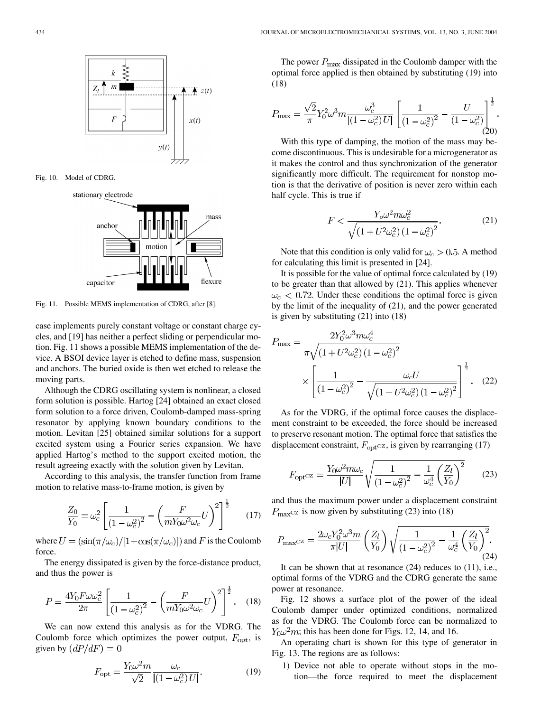

Fig. 10. Model of CDRG.

stationary electrode



Fig. 11. Possible MEMS implementation of CDRG, after [[8\]](#page-11-0).

case implements purely constant voltage or constant charge cycles, and [[19\]](#page-11-0) has neither a perfect sliding or perpendicular motion. Fig. 11 shows a possible MEMS implementation of the device. A BSOI device layer is etched to define mass, suspension and anchors. The buried oxide is then wet etched to release the moving parts.

Although the CDRG oscillating system is nonlinear, a closed form solution is possible. Hartog [[24\]](#page-11-0) obtained an exact closed form solution to a force driven, Coulomb-damped mass-spring resonator by applying known boundary conditions to the motion. Levitan [\[25](#page-11-0)] obtained similar solutions for a support excited system using a Fourier series expansion. We have applied Hartog's method to the support excited motion, the result agreeing exactly with the solution given by Levitan.

According to this analysis, the transfer function from frame motion to relative mass-to-frame motion, is given by

$$
\frac{Z_0}{Y_0} = \omega_c^2 \left[ \frac{1}{(1 - \omega_c^2)^2} - \left( \frac{F}{m Y_0 \omega^2 \omega_c} U \right)^2 \right]^{\frac{1}{2}} \tag{17}
$$

where  $U = (\sin(\pi/\omega_c)/[1+\cos(\pi/\omega_c)])$  and F is the Coulomb force.

The energy dissipated is given by the force-distance product, and thus the power is

$$
P = \frac{4Y_0 F \omega \omega_c^2}{2\pi} \left[ \frac{1}{(1 - \omega_c^2)^2} - \left( \frac{F}{mY_0 \omega^2 \omega_c} U \right)^2 \right]^{\frac{1}{2}}.
$$
 (18)

We can now extend this analysis as for the VDRG. The Coulomb force which optimizes the power output,  $F_{\text{opt}}$ , is given by  $(dP/dF) = 0$ 

$$
F_{\rm opt} = \frac{Y_0 \omega^2 m}{\sqrt{2}} \frac{\omega_c}{\left| (1 - \omega_c^2) U \right|}.
$$
 (19)

The power  $P_{\text{max}}$  dissipated in the Coulomb damper with the optimal force applied is then obtained by substituting (19) into (18)

$$
P_{\text{max}} = \frac{\sqrt{2}}{\pi} Y_0^2 \omega^3 m \frac{\omega_c^3}{|(1 - \omega_c^2) U|} \left[ \frac{1}{(1 - \omega_c^2)^2} - \frac{U}{(1 - \omega_c^2)} \right]^{\frac{1}{2}}.
$$
\n(20)

With this type of damping, the motion of the mass may become discontinuous. This is undesirable for a microgenerator as it makes the control and thus synchronization of the generator significantly more difficult. The requirement for nonstop motion is that the derivative of position is never zero within each half cycle. This is true if

$$
F < \frac{Y_o \omega^2 m \omega_c^2}{\sqrt{\left(1 + U^2 \omega_c^2\right) \left(1 - \omega_c^2\right)^2}}.\tag{21}
$$

Note that this condition is only valid for  $\omega_c > 0.5$ . A method for calculating this limit is presented in [[24\]](#page-11-0).

It is possible for the value of optimal force calculated by (19) to be greater than that allowed by (21). This applies whenever  $\omega_c$  < 0.72. Under these conditions the optimal force is given by the limit of the inequality of (21), and the power generated is given by substituting (21) into (18)

$$
P_{\text{max}} = \frac{2Y_0^2 \omega^3 m \omega_c^4}{\pi \sqrt{(1 + U^2 \omega_c^2)(1 - \omega_c^2)^2}} \times \left[ \frac{1}{(1 - \omega_c^2)^2} - \frac{\omega_c U}{\sqrt{(1 + U^2 \omega_c^2)(1 - \omega_c^2)^2}} \right]^{\frac{1}{2}}.
$$
 (22)

As for the VDRG, if the optimal force causes the displacement constraint to be exceeded, the force should be increased to preserve resonant motion. The optimal force that satisfies the displacement constraint,  $F_{\text{opt}}$ cz, is given by rearranging (17)

$$
F_{\rm opt^{CZ}} = \frac{Y_0 \omega^2 m \omega_c}{|U|} \sqrt{\frac{1}{\left(1 - \omega_c^2\right)^2} - \frac{1}{\omega_c^4} \left(\frac{Z_l}{Y_0}\right)^2} \tag{23}
$$

and thus the maximum power under a displacement constraint  $P_{\text{max}}$ cz is now given by substituting (23) into (18)

$$
P_{\text{max}} \text{c}z = \frac{2\omega_c Y_0^2 \omega^3 m}{\pi |U|} \left(\frac{Z_l}{Y_0}\right) \sqrt{\frac{1}{\left(1 - \omega_c^2\right)^2} - \frac{1}{\omega_c^4} \left(\frac{Z_l}{Y_0}\right)^2}.
$$
\n(24)

It can be shown that at resonance (24) reduces to (11), i.e., optimal forms of the VDRG and the CDRG generate the same power at resonance.

Fig. 12 shows a surface plot of the power of the ideal Coulomb damper under optimized conditions, normalized as for the VDRG. The Coulomb force can be normalized to  $Y_0 \omega^2 m$ ; this has been done for Figs. 12, 14, and 16.

An operating chart is shown for this type of generator in Fig. 13. The regions are as follows:

1) Device not able to operate without stops in the motion—the force required to meet the displacement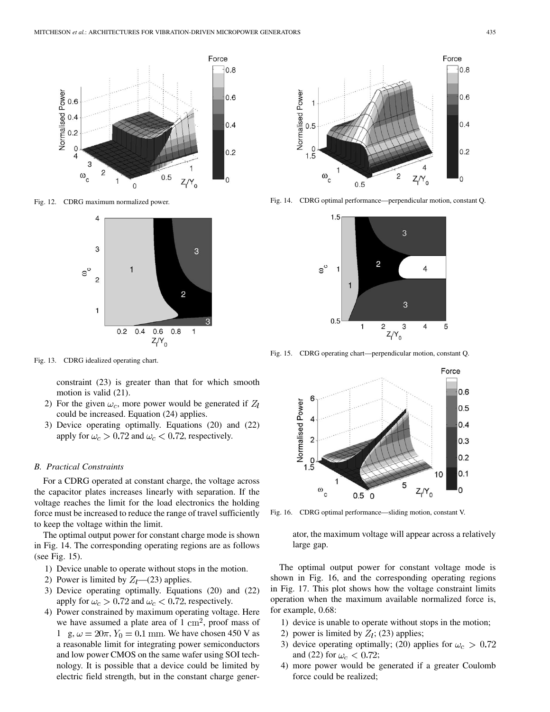

Fig. 12. CDRG maximum normalized power.



Fig. 13. CDRG idealized operating chart.

constraint (23) is greater than that for which smooth motion is valid (21).

- 2) For the given  $\omega_c$ , more power would be generated if  $Z_l$ could be increased. Equation (24) applies.
- 3) Device operating optimally. Equations (20) and (22) apply for  $\omega_c > 0.72$  and  $\omega_c < 0.72$ , respectively.

#### *B. Practical Constraints*

For a CDRG operated at constant charge, the voltage across the capacitor plates increases linearly with separation. If the voltage reaches the limit for the load electronics the holding force must be increased to reduce the range of travel sufficiently to keep the voltage within the limit.

The optimal output power for constant charge mode is shown in Fig. 14. The corresponding operating regions are as follows (see Fig. 15).

- 1) Device unable to operate without stops in the motion.
- 2) Power is limited by  $Z_l$ —(23) applies.
- 3) Device operating optimally. Equations (20) and (22) apply for  $\omega_c > 0.72$  and  $\omega_c < 0.72$ , respectively.
- 4) Power constrained by maximum operating voltage. Here we have assumed a plate area of  $1 \text{ cm}^2$ , proof mass of 1 g,  $\omega = 20\pi$ ,  $Y_0 = 0.1$  mm. We have chosen 450 V as a reasonable limit for integrating power semiconductors and low power CMOS on the same wafer using SOI technology. It is possible that a device could be limited by electric field strength, but in the constant charge gener-



Fig. 14. CDRG optimal performance—perpendicular motion, constant Q.



Fig. 15. CDRG operating chart—perpendicular motion, constant Q.



Fig. 16. CDRG optimal performance—sliding motion, constant V.

ator, the maximum voltage will appear across a relatively large gap.

The optimal output power for constant voltage mode is shown in Fig. 16, and the corresponding operating regions in Fig. 17. This plot shows how the voltage constraint limits operation when the maximum available normalized force is, for example, 0.68:

- 1) device is unable to operate without stops in the motion;
- 2) power is limited by  $Z_l$ ; (23) applies;
- 3) device operating optimally; (20) applies for  $\omega_c > 0.72$ and (22) for  $\omega_c < 0.72$ ;
- 4) more power would be generated if a greater Coulomb force could be realized;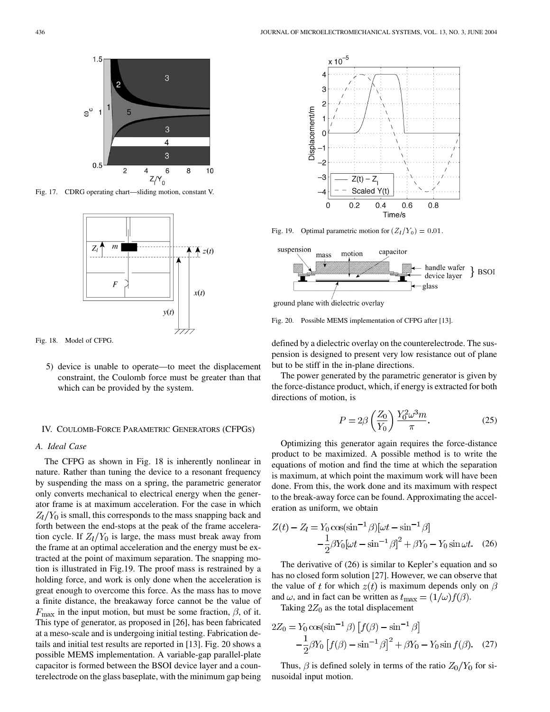

Fig. 17. CDRG operating chart—sliding motion, constant V.



Fig. 18. Model of CFPG.

5) device is unable to operate—to meet the displacement constraint, the Coulomb force must be greater than that which can be provided by the system.

## IV. COULOMB-FORCE PARAMETRIC GENERATORS (CFPGS)

# *A. Ideal Case*

The CFPG as shown in Fig. 18 is inherently nonlinear in nature. Rather than tuning the device to a resonant frequency by suspending the mass on a spring, the parametric generator only converts mechanical to electrical energy when the generator frame is at maximum acceleration. For the case in which  $Z_l/Y_0$  is small, this corresponds to the mass snapping back and forth between the end-stops at the peak of the frame acceleration cycle. If  $Z_l/Y_0$  is large, the mass must break away from the frame at an optimal acceleration and the energy must be extracted at the point of maximum separation. The snapping motion is illustrated in Fig.19. The proof mass is restrained by a holding force, and work is only done when the acceleration is great enough to overcome this force. As the mass has to move a finite distance, the breakaway force cannot be the value of  $F_{\text{max}}$  in the input motion, but must be some fraction,  $\beta$ , of it. This type of generator, as proposed in [[26\]](#page-11-0), has been fabricated at a meso-scale and is undergoing initial testing. Fabrication details and initial test results are reported in [\[13](#page-11-0)]. Fig. 20 shows a possible MEMS implementation. A variable-gap parallel-plate capacitor is formed between the BSOI device layer and a counterelectrode on the glass baseplate, with the minimum gap being



Fig. 19. Optimal parametric motion for  $(Z_l/Y_0)=0.01$ .



ground plane with dielectric overlay

Fig. 20. Possible MEMS implementation of CFPG after [[13\]](#page-11-0).

defined by a dielectric overlay on the counterelectrode. The suspension is designed to present very low resistance out of plane but to be stiff in the in-plane directions.

The power generated by the parametric generator is given by the force-distance product, which, if energy is extracted for both directions of motion, is

$$
P = 2\beta \left(\frac{Z_0}{Y_0}\right) \frac{Y_0^2 \omega^3 m}{\pi}.
$$
 (25)

Optimizing this generator again requires the force-distance product to be maximized. A possible method is to write the equations of motion and find the time at which the separation is maximum, at which point the maximum work will have been done. From this, the work done and its maximum with respect to the break-away force can be found. Approximating the acceleration as uniform, we obtain

$$
Z(t) - Z_l = Y_0 \cos(\sin^{-1} \beta) [\omega t - \sin^{-1} \beta] -\frac{1}{2} \beta Y_0 [\omega t - \sin^{-1} \beta]^2 + \beta Y_0 - Y_0 \sin \omega t.
$$
 (26)

The derivative of (26) is similar to Kepler's equation and so has no closed form solution [\[27](#page-11-0)]. However, we can observe that the value of t for which  $z(t)$  is maximum depends only on  $\beta$ and  $\omega$ , and in fact can be written as  $t_{\text{max}} = (1/\omega) f(\beta)$ .

Taking  $2Z_0$  as the total displacement

$$
2Z_0 = Y_0 \cos(\sin^{-1}\beta) \left[ f(\beta) - \sin^{-1}\beta \right]
$$
  
 
$$
-\frac{1}{2}\beta Y_0 \left[ f(\beta) - \sin^{-1}\beta \right]^2 + \beta Y_0 - Y_0 \sin f(\beta). \quad (27)
$$

Thus,  $\beta$  is defined solely in terms of the ratio  $Z_0/Y_0$  for sinusoidal input motion.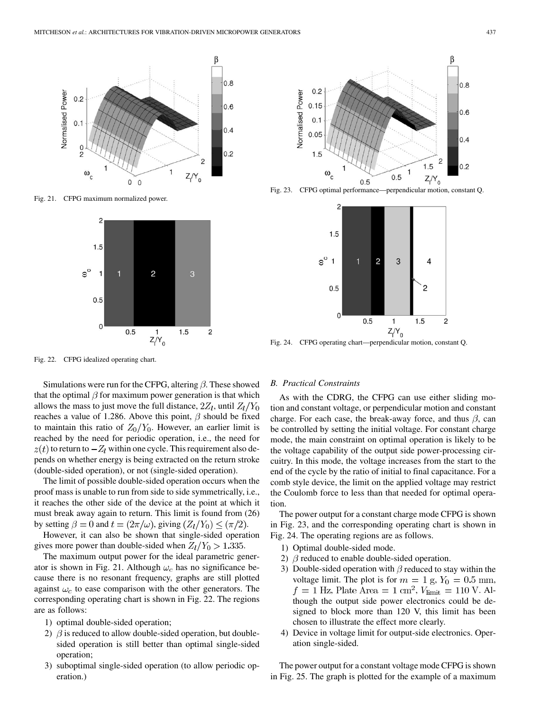

Fig. 21. CFPG maximum normalized power.



β  $0.8$  $0.2$ Normalised Power  $0.15$  $0.6$  $0.1$  $0.05$  $0.4$  $1.5$  $\overline{c}$  $1.5$  $0.2$  $\omega_c$  $0.5$  $Z_1/Y_0$  $0.5$ 



 $Z/Y_0$ 

Fig. 24. CFPG operating chart—perpendicular motion, constant Q.

Fig. 22. CFPG idealized operating chart.

Simulations were run for the CFPG, altering  $\beta$ . These showed that the optimal  $\beta$  for maximum power generation is that which allows the mass to just move the full distance,  $2Z_l$ , until  $Z_l/Y_0$ reaches a value of 1.286. Above this point,  $\beta$  should be fixed to maintain this ratio of  $Z_0/Y_0$ . However, an earlier limit is reached by the need for periodic operation, i.e., the need for  $z(t)$  to return to  $-Z_l$  within one cycle. This requirement also depends on whether energy is being extracted on the return stroke (double-sided operation), or not (single-sided operation).

The limit of possible double-sided operation occurs when the proof mass is unable to run from side to side symmetrically, i.e., it reaches the other side of the device at the point at which it must break away again to return. This limit is found from (26) by setting  $\beta = 0$  and  $t = (2\pi/\omega)$ , giving  $(Z_l/Y_0) \leq (\pi/2)$ .

However, it can also be shown that single-sided operation gives more power than double-sided when  $Z_l/Y_0 > 1.335$ .

The maximum output power for the ideal parametric generator is shown in Fig. 21. Although  $\omega_c$  has no significance because there is no resonant frequency, graphs are still plotted against  $\omega_c$  to ease comparison with the other generators. The corresponding operating chart is shown in Fig. 22. The regions are as follows:

- 1) optimal double-sided operation;
- 2)  $\beta$  is reduced to allow double-sided operation, but doublesided operation is still better than optimal single-sided operation;
- 3) suboptimal single-sided operation (to allow periodic operation.)

## *B. Practical Constraints*

As with the CDRG, the CFPG can use either sliding motion and constant voltage, or perpendicular motion and constant charge. For each case, the break-away force, and thus  $\beta$ , can be controlled by setting the initial voltage. For constant charge mode, the main constraint on optimal operation is likely to be the voltage capability of the output side power-processing circuitry. In this mode, the voltage increases from the start to the end of the cycle by the ratio of initial to final capacitance. For a comb style device, the limit on the applied voltage may restrict the Coulomb force to less than that needed for optimal operation.

The power output for a constant charge mode CFPG is shown in Fig. 23, and the corresponding operating chart is shown in Fig. 24. The operating regions are as follows.

- 1) Optimal double-sided mode.
- 2)  $\beta$  reduced to enable double-sided operation.
- 3) Double-sided operation with  $\beta$  reduced to stay within the voltage limit. The plot is for  $m = 1$  g,  $Y_0 = 0.5$  mm,  $f = 1$  Hz, Plate Area =  $1 \text{ cm}^2$ ,  $V_{\text{limit}} = 110 \text{ V}$ . Although the output side power electronics could be designed to block more than 120 V, this limit has been chosen to illustrate the effect more clearly.
- 4) Device in voltage limit for output-side electronics. Operation single-sided.

The power output for a constant voltage mode CFPG is shown in Fig. 25. The graph is plotted for the example of a maximum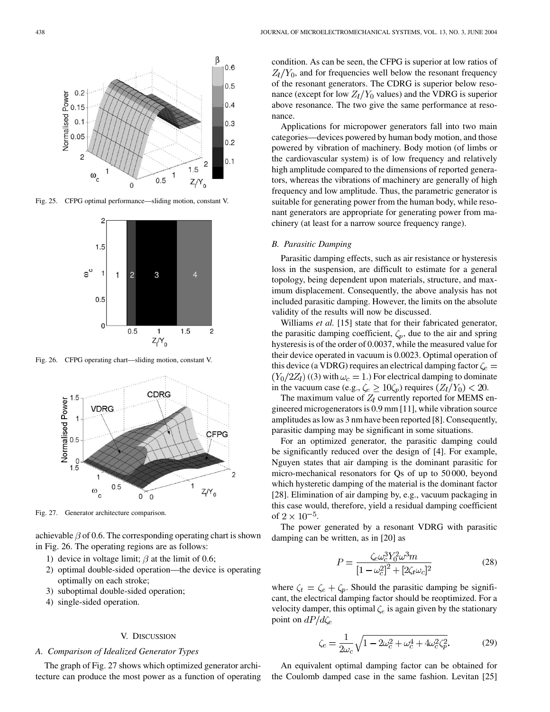

Fig. 25. CFPG optimal performance—sliding motion, constant V.



Fig. 26. CFPG operating chart—sliding motion, constant V.



Fig. 27. Generator architecture comparison.

achievable  $\beta$  of 0.6. The corresponding operating chart is shown in Fig. 26. The operating regions are as follows:

- 1) device in voltage limit;  $\beta$  at the limit of 0.6;
- 2) optimal double-sided operation—the device is operating optimally on each stroke;
- 3) suboptimal double-sided operation;
- 4) single-sided operation.

# V. DISCUSSION

# *A. Comparison of Idealized Generator Types*

The graph of Fig. 27 shows which optimized generator architecture can produce the most power as a function of operating condition. As can be seen, the CFPG is superior at low ratios of  $Z_l/Y_0$ , and for frequencies well below the resonant frequency of the resonant generators. The CDRG is superior below resonance (except for low  $Z_l/Y_0$  values) and the VDRG is superior above resonance. The two give the same performance at resonance.

Applications for micropower generators fall into two main categories—devices powered by human body motion, and those powered by vibration of machinery. Body motion (of limbs or the cardiovascular system) is of low frequency and relatively high amplitude compared to the dimensions of reported generators, whereas the vibrations of machinery are generally of high frequency and low amplitude. Thus, the parametric generator is suitable for generating power from the human body, while resonant generators are appropriate for generating power from machinery (at least for a narrow source frequency range).

## *B. Parasitic Damping*

Parasitic damping effects, such as air resistance or hysteresis loss in the suspension, are difficult to estimate for a general topology, being dependent upon materials, structure, and maximum displacement. Consequently, the above analysis has not included parasitic damping. However, the limits on the absolute validity of the results will now be discussed.

Williams *et al.* [[15\]](#page-11-0) state that for their fabricated generator, the parasitic damping coefficient,  $\zeta_p$ , due to the air and spring hysteresis is of the order of 0.0037, while the measured value for their device operated in vacuum is 0.0023. Optimal operation of this device (a VDRG) requires an electrical damping factor  $\zeta_e =$  $(Y_0/2Z_l)$  ((3) with  $\omega_c = 1$ .) For electrical damping to dominate in the vacuum case (e.g.,  $\zeta_e \ge 10 \zeta_p$ ) requires  $(Z_l/Y_0) < 20$ .

The maximum value of  $Z_l$  currently reported for MEMS engineered microgenerators is 0.9 mm [\[11](#page-11-0)], while vibration source amplitudes as low as 3 nm have been reported [[8](#page-11-0)]. Consequently, parasitic damping may be significant in some situations.

For an optimized generator, the parasitic damping could be significantly reduced over the design of [[4\]](#page-11-0). For example, Nguyen states that air damping is the dominant parasitic for micro-mechanical resonators for Qs of up to 50 000, beyond which hysteretic damping of the material is the dominant factor [[28\]](#page-11-0). Elimination of air damping by, e.g., vacuum packaging in this case would, therefore, yield a residual damping coefficient of  $2 \times 10^{-5}$ .

The power generated by a resonant VDRG with parasitic damping can be written, as in [\[20](#page-11-0)] as

$$
P = \frac{\zeta_e \omega_c^3 Y_0^2 \omega^3 m}{\left[1 - \omega_c^2\right]^2 + \left[2\zeta_t \omega_c\right]^2} \tag{28}
$$

where  $\zeta_t = \zeta_e + \zeta_p$ . Should the parasitic damping be significant, the electrical damping factor should be reoptimized. For a velocity damper, this optimal  $\zeta_e$  is again given by the stationary point on  $dP/d\zeta_e$ 

$$
\zeta_e = \frac{1}{2\omega_c} \sqrt{1 - 2\omega_c^2 + \omega_c^4 + 4\omega_c^2 \zeta_p^2}.
$$
 (29)

An equivalent optimal damping factor can be obtained for the Coulomb damped case in the same fashion. Levitan [\[25](#page-11-0)]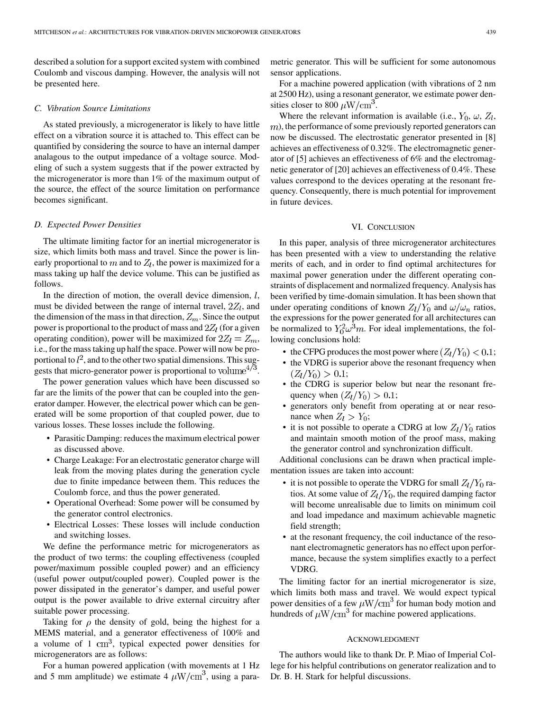described a solution for a support excited system with combined Coulomb and viscous damping. However, the analysis will not be presented here.

## *C. Vibration Source Limitations*

As stated previously, a microgenerator is likely to have little effect on a vibration source it is attached to. This effect can be quantified by considering the source to have an internal damper analagous to the output impedance of a voltage source. Modeling of such a system suggests that if the power extracted by the microgenerator is more than 1% of the maximum output of the source, the effect of the source limitation on performance becomes significant.

#### *D. Expected Power Densities*

The ultimate limiting factor for an inertial microgenerator is size, which limits both mass and travel. Since the power is linearly proportional to  $m$  and to  $Z_l$ , the power is maximized for a mass taking up half the device volume. This can be justified as follows.

In the direction of motion, the overall device dimension,  $l$ , must be divided between the range of internal travel,  $2Z_l$ , and the dimension of the mass in that direction,  $Z_m$ . Since the output power is proportional to the product of mass and  $2Z_l$  (for a given operating condition), power will be maximized for  $2Z_l = Z_m$ , i.e., for the mass taking up half the space. Power will now be proportional to  $l^2$ , and to the other two spatial dimensions. This suggests that micro-generator power is proportional to volume<sup> $4\sqrt{3}$ </sup>.

The power generation values which have been discussed so far are the limits of the power that can be coupled into the generator damper. However, the electrical power which can be generated will be some proportion of that coupled power, due to various losses. These losses include the following.

- Parasitic Damping: reduces the maximum electrical power as discussed above.
- Charge Leakage: For an electrostatic generator charge will leak from the moving plates during the generation cycle due to finite impedance between them. This reduces the Coulomb force, and thus the power generated.
- Operational Overhead: Some power will be consumed by the generator control electronics.
- Electrical Losses: These losses will include conduction and switching losses.

We define the performance metric for microgenerators as the product of two terms: the coupling effectiveness (coupled power/maximum possible coupled power) and an efficiency (useful power output/coupled power). Coupled power is the power dissipated in the generator's damper, and useful power output is the power available to drive external circuitry after suitable power processing.

Taking for  $\rho$  the density of gold, being the highest for a MEMS material, and a generator effectiveness of 100% and a volume of  $1 \text{ cm}^3$ , typical expected power densities for microgenerators are as follows:

For a human powered application (with movements at 1 Hz and 5 mm amplitude) we estimate 4  $\mu$ W/cm<sup>3</sup>, using a parametric generator. This will be sufficient for some autonomous sensor applications.

For a machine powered application (with vibrations of 2 nm at 2500 Hz), using a resonant generator, we estimate power densities closer to 800  $\mu$ W/cm<sup>3</sup>.

Where the relevant information is available (i.e.,  $Y_0$ ,  $\omega$ ,  $Z_l$ ,  $(m)$ , the performance of some previously reported generators can now be discussed. The electrostatic generator presented in [[8\]](#page-11-0) achieves an effectiveness of 0.32%. The electromagnetic generator of [\[5](#page-11-0)] achieves an effectiveness of 6% and the electromagnetic generator of [\[20](#page-11-0)] achieves an effectiveness of 0.4%. These values correspond to the devices operating at the resonant frequency. Consequently, there is much potential for improvement in future devices.

## VI. CONCLUSION

In this paper, analysis of three microgenerator architectures has been presented with a view to understanding the relative merits of each, and in order to find optimal architectures for maximal power generation under the different operating constraints of displacement and normalized frequency. Analysis has been verified by time-domain simulation. It has been shown that under operating conditions of known  $Z_l/Y_0$  and  $\omega/\omega_n$  ratios, the expressions for the power generated for all architectures can be normalized to  $Y_0^2 \omega^3 m$ . For ideal implementations, the following conclusions hold:

- the CFPG produces the most power where  $(Z_l/Y_0) < 0.1$ ;
- the VDRG is superior above the resonant frequency when  $(Z_l/Y_0) > 0.1;$
- the CDRG is superior below but near the resonant frequency when  $(Z_l/Y_0) > 0.1$ ;
- generators only benefit from operating at or near resonance when  $Z_l > Y_0$ ;
- it is not possible to operate a CDRG at low  $Z_l/Y_0$  ratios and maintain smooth motion of the proof mass, making the generator control and synchronization difficult.

Additional conclusions can be drawn when practical implementation issues are taken into account:

- it is not possible to operate the VDRG for small  $Z_l/Y_0$  ratios. At some value of  $Z_l/Y_0$ , the required damping factor will become unrealisable due to limits on minimum coil and load impedance and maximum achievable magnetic field strength;
- at the resonant frequency, the coil inductance of the resonant electromagnetic generators has no effect upon performance, because the system simplifies exactly to a perfect VDRG.

The limiting factor for an inertial microgenerator is size, which limits both mass and travel. We would expect typical power densities of a few  $\mu$ W/cm<sup>3</sup> for human body motion and hundreds of  $\mu$ W/cm<sup>3</sup> for machine powered applications.

# ACKNOWLEDGMENT

The authors would like to thank Dr. P. Miao of Imperial College for his helpful contributions on generator realization and to Dr. B. H. Stark for helpful discussions.